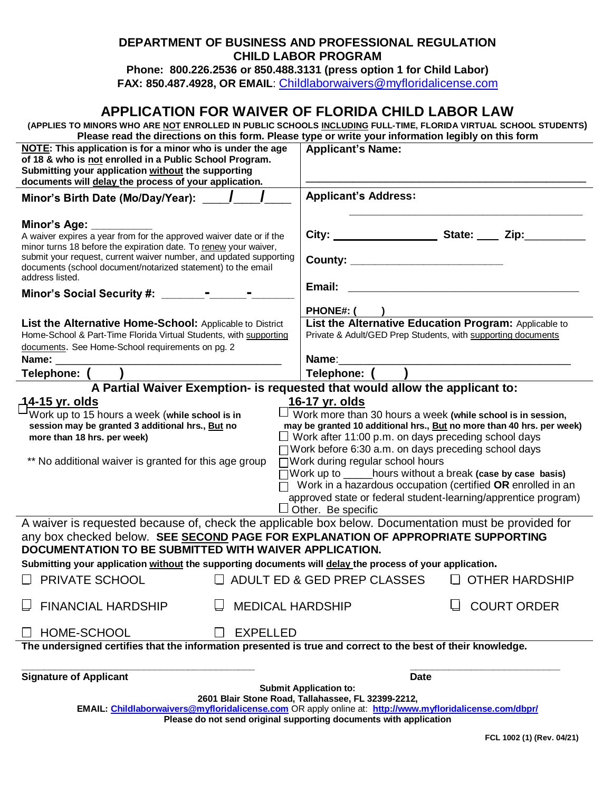### **DEPARTMENT OF BUSINESS AND PROFESSIONAL REGULATION CHILD LABOR PROGRAM**

**Phone: 800.226.2536 or 850.488.3131 (press option 1 for Child Labor) FAX: 850.487.4928, OR EMAIL**: [Childlaborwaivers@myfloridalicense.com](mailto:Childlaborwaivers@myfloridalicense.com)

# **APPLICATION FOR WAIVER OF FLORIDA CHILD LABOR LAW**

**(APPLIES TO MINORS WHO ARE NOT ENROLLED IN PUBLIC SCHOOLS INCLUDING FULL-TIME, FLORIDA VIRTUAL SCHOOL STUDENTS) Please read the directions on this form. Please type or write your information legibly on this form**

| <b>NOTE:</b> This application is for a minor who is under the age<br>of 18 & who is not enrolled in a Public School Program.<br>Submitting your application without the supporting<br>documents will delay the process of your application. | <b>Applicant's Name:</b>                                                                                              |  |  |  |  |
|---------------------------------------------------------------------------------------------------------------------------------------------------------------------------------------------------------------------------------------------|-----------------------------------------------------------------------------------------------------------------------|--|--|--|--|
| Minor's Birth Date (Mo/Day/Year): ____ /                                                                                                                                                                                                    | <b>Applicant's Address:</b>                                                                                           |  |  |  |  |
| Minor's Age: ________<br>A waiver expires a year from for the approved waiver date or if the<br>minor turns 18 before the expiration date. To renew your waiver,                                                                            | City: City: City: City: City:                                                                                         |  |  |  |  |
| submit your request, current waiver number, and updated supporting<br>documents (school document/notarized statement) to the email<br>address listed.                                                                                       | County: __________________________                                                                                    |  |  |  |  |
| Minor's Social Security #: ________-                                                                                                                                                                                                        | Email:                                                                                                                |  |  |  |  |
|                                                                                                                                                                                                                                             | <b>PHONE#: (</b>                                                                                                      |  |  |  |  |
| List the Alternative Home-School: Applicable to District<br>Home-School & Part-Time Florida Virtual Students, with supporting<br>documents. See Home-School requirements on pg. 2                                                           | List the Alternative Education Program: Applicable to<br>Private & Adult/GED Prep Students, with supporting documents |  |  |  |  |
| Name:                                                                                                                                                                                                                                       | Name: and the state of the state of the state of the state of the state of the state of the state of the state        |  |  |  |  |
| Telephone: (                                                                                                                                                                                                                                | Telephone: ( )                                                                                                        |  |  |  |  |
| A Partial Waiver Exemption- is requested that would allow the applicant to:                                                                                                                                                                 |                                                                                                                       |  |  |  |  |
| <u> 14-15 yr. olds</u>                                                                                                                                                                                                                      | 16-17 yr. olds                                                                                                        |  |  |  |  |
| Work up to 15 hours a week (while school is in<br>$\Box$ Work more than 30 hours a week (while school is in session,                                                                                                                        |                                                                                                                       |  |  |  |  |
| session may be granted 3 additional hrs., But no                                                                                                                                                                                            | may be granted 10 additional hrs., But no more than 40 hrs. per week)                                                 |  |  |  |  |
| more than 18 hrs. per week)                                                                                                                                                                                                                 | $\Box$ Work after 11:00 p.m. on days preceding school days                                                            |  |  |  |  |
| $\Box$ Work before 6:30 a.m. on days preceding school days                                                                                                                                                                                  |                                                                                                                       |  |  |  |  |
| ** No additional waiver is granted for this age group                                                                                                                                                                                       | □ Work during regular school hours                                                                                    |  |  |  |  |
|                                                                                                                                                                                                                                             | $\Box$ Work up to $\Box$ hours without a break (case by case basis)                                                   |  |  |  |  |
|                                                                                                                                                                                                                                             | Work in a hazardous occupation (certified OR enrolled in an                                                           |  |  |  |  |
|                                                                                                                                                                                                                                             | approved state or federal student-learning/apprentice program)                                                        |  |  |  |  |
|                                                                                                                                                                                                                                             | $\Box$ Other. Be specific                                                                                             |  |  |  |  |
| A waiver is requested because of, check the applicable box below. Documentation must be provided for                                                                                                                                        |                                                                                                                       |  |  |  |  |
| any box checked below. SEE SECOND PAGE FOR EXPLANATION OF APPROPRIATE SUPPORTING<br>DOCUMENTATION TO BE SUBMITTED WITH WAIVER APPLICATION.                                                                                                  |                                                                                                                       |  |  |  |  |
| Submitting your application without the supporting documents will delay the process of your application.                                                                                                                                    |                                                                                                                       |  |  |  |  |
| $\Box$ PRIVATE SCHOOL                                                                                                                                                                                                                       | $\Box$ ADULT ED & GED PREP CLASSES<br>$\Box$ OTHER HARDSHIP                                                           |  |  |  |  |
| <b>FINANCIAL HARDSHIP</b><br><b>MEDICAL HARDSHIP</b>                                                                                                                                                                                        | <b>COURT ORDER</b>                                                                                                    |  |  |  |  |
| HOME-SCHOOL<br><b>EXPELLED</b>                                                                                                                                                                                                              |                                                                                                                       |  |  |  |  |
| The undersigned certifies that the information presented is true and correct to the best of their knowledge.                                                                                                                                |                                                                                                                       |  |  |  |  |
|                                                                                                                                                                                                                                             |                                                                                                                       |  |  |  |  |
| <b>Signature of Applicant</b>                                                                                                                                                                                                               | <b>Date</b>                                                                                                           |  |  |  |  |
| <b>Submit Application to:</b>                                                                                                                                                                                                               |                                                                                                                       |  |  |  |  |
|                                                                                                                                                                                                                                             | 2601 Blair Stone Road, Tallahassee, FL 32399-2212,                                                                    |  |  |  |  |
| EMAIL: Childlaborwaivers@myfloridalicense.com OR apply online at: http://www.myfloridalicense.com/dbpr/<br>Please do not send original supporting documents with application                                                                |                                                                                                                       |  |  |  |  |